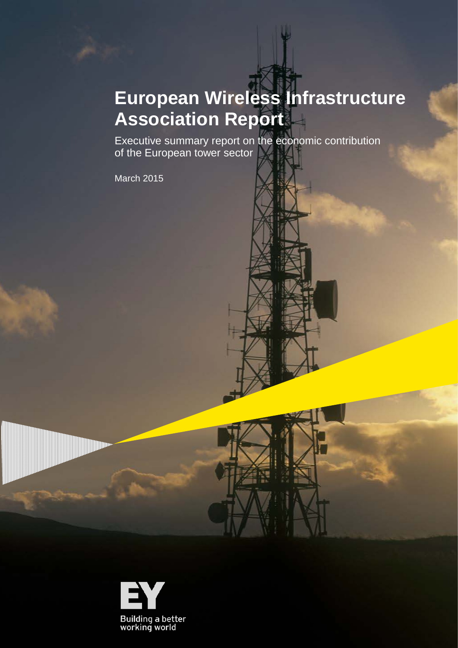## **European Wireless Infrastructure Association Report**

Executive summary report on the economic contribution of the European tower sector

March 2015

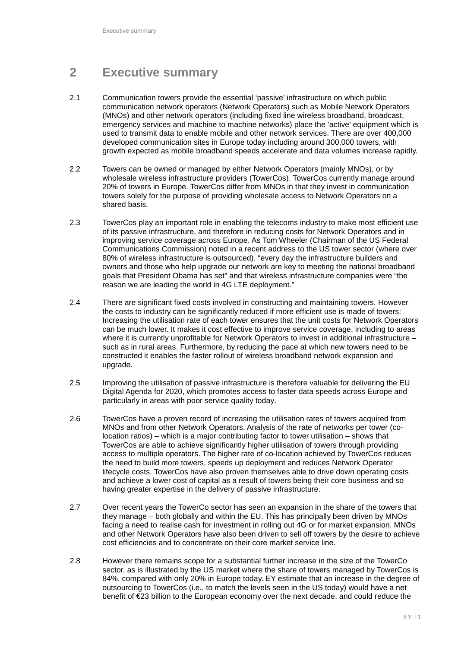## **2 Executive summary**

- 2.1 Communication towers provide the essential 'passive' infrastructure on which public communication network operators (Network Operators) such as Mobile Network Operators (MNOs) and other network operators (including fixed line wireless broadband, broadcast, emergency services and machine to machine networks) place the 'active' equipment which is used to transmit data to enable mobile and other network services. There are over 400,000 developed communication sites in Europe today including around 300,000 towers, with growth expected as mobile broadband speeds accelerate and data volumes increase rapidly.
- 2.2 Towers can be owned or managed by either Network Operators (mainly MNOs), or by wholesale wireless infrastructure providers (TowerCos). TowerCos currently manage around 20% of towers in Europe. TowerCos differ from MNOs in that they invest in communication towers solely for the purpose of providing wholesale access to Network Operators on a shared basis.
- 2.3 TowerCos play an important role in enabling the telecoms industry to make most efficient use of its passive infrastructure, and therefore in reducing costs for Network Operators and in improving service coverage across Europe. As Tom Wheeler (Chairman of the US Federal Communications Commission) noted in a recent address to the US tower sector (where over 80% of wireless infrastructure is outsourced), "every day the infrastructure builders and owners and those who help upgrade our network are key to meeting the national broadband goals that President Obama has set" and that wireless infrastructure companies were "the reason we are leading the world in 4G LTE deployment."
- 2.4 There are significant fixed costs involved in constructing and maintaining towers. However the costs to industry can be significantly reduced if more efficient use is made of towers: Increasing the utilisation rate of each tower ensures that the unit costs for Network Operators can be much lower. It makes it cost effective to improve service coverage, including to areas where it is currently unprofitable for Network Operators to invest in additional infrastructure such as in rural areas. Furthermore, by reducing the pace at which new towers need to be constructed it enables the faster rollout of wireless broadband network expansion and upgrade.
- 2.5 Improving the utilisation of passive infrastructure is therefore valuable for delivering the EU Digital Agenda for 2020, which promotes access to faster data speeds across Europe and particularly in areas with poor service quality today.
- 2.6 TowerCos have a proven record of increasing the utilisation rates of towers acquired from MNOs and from other Network Operators. Analysis of the rate of networks per tower (colocation ratios) – which is a major contributing factor to tower utilisation – shows that TowerCos are able to achieve significantly higher utilisation of towers through providing access to multiple operators. The higher rate of co-location achieved by TowerCos reduces the need to build more towers, speeds up deployment and reduces Network Operator lifecycle costs. TowerCos have also proven themselves able to drive down operating costs and achieve a lower cost of capital as a result of towers being their core business and so having greater expertise in the delivery of passive infrastructure.
- 2.7 Over recent years the TowerCo sector has seen an expansion in the share of the towers that they manage – both globally and within the EU. This has principally been driven by MNOs facing a need to realise cash for investment in rolling out 4G or for market expansion. MNOs and other Network Operators have also been driven to sell off towers by the desire to achieve cost efficiencies and to concentrate on their core market service line.
- 2.8 However there remains scope for a substantial further increase in the size of the TowerCo sector, as is illustrated by the US market where the share of towers managed by TowerCos is 84%, compared with only 20% in Europe today. EY estimate that an increase in the degree of outsourcing to TowerCos (i.e., to match the levels seen in the US today) would have a net benefit of €23 billion to the European economy over the next decade, and could reduce the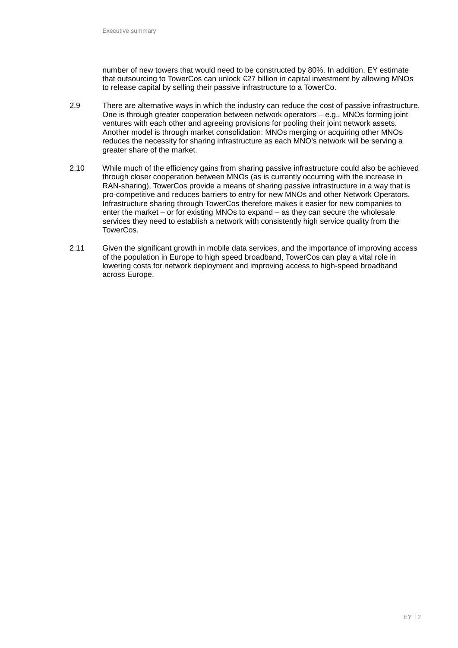number of new towers that would need to be constructed by 80%. In addition, EY estimate that outsourcing to TowerCos can unlock €27 billion in capital investment by allowing MNOs to release capital by selling their passive infrastructure to a TowerCo.

- 2.9 There are alternative ways in which the industry can reduce the cost of passive infrastructure. One is through greater cooperation between network operators – e.g., MNOs forming joint ventures with each other and agreeing provisions for pooling their joint network assets. Another model is through market consolidation: MNOs merging or acquiring other MNOs reduces the necessity for sharing infrastructure as each MNO's network will be serving a greater share of the market.
- 2.10 While much of the efficiency gains from sharing passive infrastructure could also be achieved through closer cooperation between MNOs (as is currently occurring with the increase in RAN-sharing), TowerCos provide a means of sharing passive infrastructure in a way that is pro-competitive and reduces barriers to entry for new MNOs and other Network Operators. Infrastructure sharing through TowerCos therefore makes it easier for new companies to enter the market – or for existing MNOs to expand – as they can secure the wholesale services they need to establish a network with consistently high service quality from the TowerCos.
- 2.11 Given the significant growth in mobile data services, and the importance of improving access of the population in Europe to high speed broadband, TowerCos can play a vital role in lowering costs for network deployment and improving access to high-speed broadband across Europe.